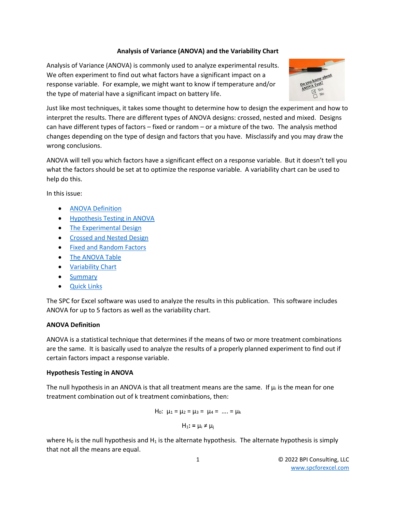# **Analysis of Variance (ANOVA) and the Variability Chart**

Analysis of Variance (ANOVA) is commonly used to analyze experimental results. We often experiment to find out what factors have a significant impact on a response variable. For example, we might want to know if temperature and/or the type of material have a significant impact on battery life.



Just like most techniques, it takes some thought to determine how to design the experiment and how to interpret the results. There are different types of ANOVA designs: crossed, nested and mixed. Designs can have different types of factors – fixed or random – or a mixture of the two. The analysis method changes depending on the type of design and factors that you have. Misclassify and you may draw the wrong conclusions.

ANOVA will tell you which factors have a significant effect on a response variable. But it doesn't tell you what the factors should be set at to optimize the response variable. A variability chart can be used to help do this.

In this issue:

- **[ANOVA Definition](#page-0-0)**
- [Hypothesis Testing in ANOVA](#page-0-1)
- [The Experimental Design](#page-1-0)
- [Crossed and Nested Design](#page-1-1)
- [Fixed and Random Factors](#page-3-0)
- [The ANOVA Table](#page-4-0)
- [Variability Chart](#page-5-0)
- [Summary](#page-7-0)
- [Quick Links](#page-7-1)

<span id="page-0-0"></span>The SPC for Excel software was used to analyze the results in this publication. This software includes ANOVA for up to 5 factors as well as the variability chart.

# **ANOVA Definition**

ANOVA is a statistical technique that determines if the means of two or more treatment combinations are the same. It is basically used to analyze the results of a properly planned experiment to find out if certain factors impact a response variable.

# <span id="page-0-1"></span>**Hypothesis Testing in ANOVA**

The null hypothesis in an ANOVA is that all treatment means are the same. If  $\mu_i$  is the mean for one treatment combination out of k treatment cominbations, then:

$$
H_0: \ \mu_1 = \mu_2 = \mu_3 = \ \mu_4 = \ \ldots = \mu_k
$$

 $H_1$ : =  $\mu_i \neq \mu_j$ 

where  $H_0$  is the null hypothesis and  $H_1$  is the alternate hypothesis. The alternate hypothesis is simply that not all the means are equal.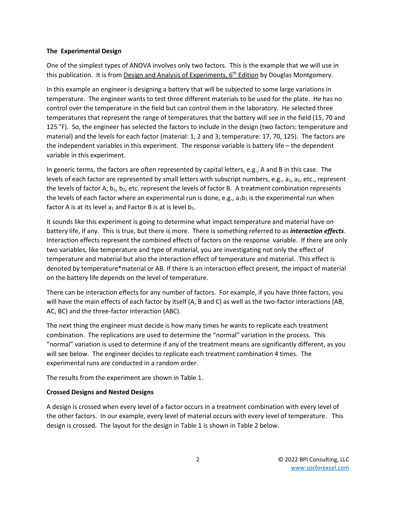### <span id="page-1-0"></span>**The Experimental Design**

One of the simplest types of ANOVA involves only two factors. This is the example that we will use in this publication. It is from Design and Analysis of Experiments, 6<sup>th</sup> Edition by Douglas Montgomery.

In this example an engineer is designing a battery that will be subjected to some large variations in temperature. The engineer wants to test three different materials to be used for the plate. He has no control over the temperature in the field but can control them in the laboratory. He selected three temperatures that represent the range of temperatures that the battery will see in the field (15, 70 and 125 °F). So, the engineer has selected the factors to include in the design (two factors: temperature and material) and the levels for each factor (material: 1, 2 and 3; temperature: 17, 70, 125). The factors are the independent variables in this experiment. The response variable is battery life – the dependent variable in this experiment.

In generic terms, the factors are often represented by capital letters, e.g., A and B in this case. The levels of each factor are represented by small letters with subscript numbers, e.g.,  $a_1$ ,  $a_2$ , etc., represent the levels of factor A;  $b_1$ ,  $b_2$ , etc. represent the levels of factor B. A treatment combination represents the levels of each factor where an experimental run is done, e.g.,  $a_1b_1$  is the experimental run when factor A is at its level  $a_1$  and Factor B is at is level  $b_1$ .

It sounds like this experiment is going to determine what impact temperature and material have on battery life, if any. This is true, but there is more. There is something referred to as *interaction effects*. Interaction effects represent the combined effects of factors on the response variable. If there are only two variables, like temperature and type of material, you are investigating not only the effect of temperature and material but also the interaction effect of temperature and material. This effect is denoted by temperature\*material or AB. If there is an interaction effect present, the impact of material on the battery life depends on the level of temperature.

There can be interaction effects for any number of factors. For example, if you have three factors, you will have the main effects of each factor by itself (A, B and C) as well as the two-factor interactions (AB, AC, BC) and the three-factor interaction (ABC).

The next thing the engineer must decide is how many times he wants to replicate each treatment combination. The replications are used to determine the "normal" variation in the process. This "normal" variation is used to determine if any of the treatment means are significantly different, as you will see below. The engineer decides to replicate each treatment combination 4 times. The experimental runs are conducted in a random order.

The results from the experiment are shown in Table 1.

## <span id="page-1-1"></span>**Crossed Designs and Nested Designs**

A design is crossed when every level of a factor occurs in a treatment combination with every level of the other factors. In our example, every level of material occurs with every level of temperature. This design is crossed. The layout for the design in Table 1 is shown in Table 2 below.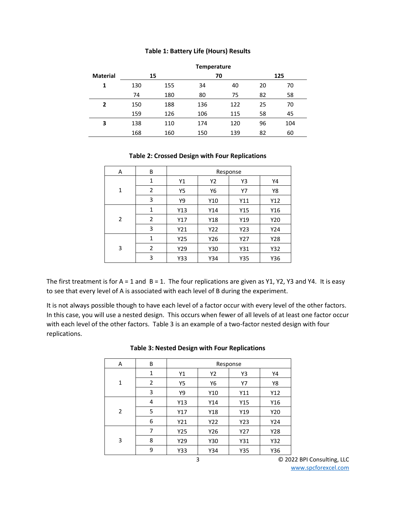#### **Table 1: Battery Life (Hours) Results**

|                 | <b>Temperature</b> |     |     |     |    |     |  |
|-----------------|--------------------|-----|-----|-----|----|-----|--|
| <b>Material</b> | 15                 |     | 70  |     |    | 125 |  |
| 1               | 130                | 155 | 34  | 40  | 20 | 70  |  |
|                 | 74                 | 180 | 80  | 75  | 82 | 58  |  |
| 2               | 150                | 188 | 136 | 122 | 25 | 70  |  |
|                 | 159                | 126 | 106 | 115 | 58 | 45  |  |
| 3               | 138                | 110 | 174 | 120 | 96 | 104 |  |
|                 | 168                | 160 | 150 | 139 | 82 | 60  |  |

### **Table 2: Crossed Design with Four Replications**

| Α | B              | Response |     |     |     |  |  |
|---|----------------|----------|-----|-----|-----|--|--|
| 1 | 1              | Y1       | Y2  | Y3  | Y4  |  |  |
|   | $\overline{2}$ | Y5       | Υ6  | Y7  | Y8  |  |  |
|   | 3              | Υ9       | Y10 | Y11 | Y12 |  |  |
| 2 | 1              | Y13      | Y14 | Y15 | Y16 |  |  |
|   | 2              | Y17      | Y18 | Y19 | Y20 |  |  |
|   | 3              | Y21      | Y22 | Y23 | Y24 |  |  |
| 3 | $\mathbf{1}$   | Y25      | Y26 | Y27 | Y28 |  |  |
|   | 2              | Y29      | Y30 | Y31 | Y32 |  |  |
|   | 3              | Y33      | Y34 | Y35 | Y36 |  |  |

The first treatment is for A = 1 and B = 1. The four replications are given as Y1, Y2, Y3 and Y4. It is easy to see that every level of A is associated with each level of B during the experiment.

It is not always possible though to have each level of a factor occur with every level of the other factors. In this case, you will use a nested design. This occurs when fewer of all levels of at least one factor occur with each level of the other factors. Table 3 is an example of a two-factor nested design with four replications.

| A            | B            | Response |     |     |     |  |  |
|--------------|--------------|----------|-----|-----|-----|--|--|
| $\mathbf{1}$ | $\mathbf{1}$ | Y1       | Y2  | Y3  | Y4  |  |  |
|              | 2            | Υ5       | Υ6  | Y7  | Υ8  |  |  |
|              | 3            | Υ9       | Y10 | Y11 | Y12 |  |  |
| 2            | 4            | Y13      | Y14 | Y15 | Y16 |  |  |
|              | 5            | Y17      | Y18 | Y19 | Y20 |  |  |
|              | 6            | Y21      | Y22 | Y23 | Y24 |  |  |
| 3            | 7            | Y25      | Y26 | Y27 | Y28 |  |  |
|              | 8            | Y29      | Y30 | Y31 | Y32 |  |  |
|              | 9            | Y33      | Y34 | Y35 | Y36 |  |  |

### **Table 3: Nested Design with Four Replications**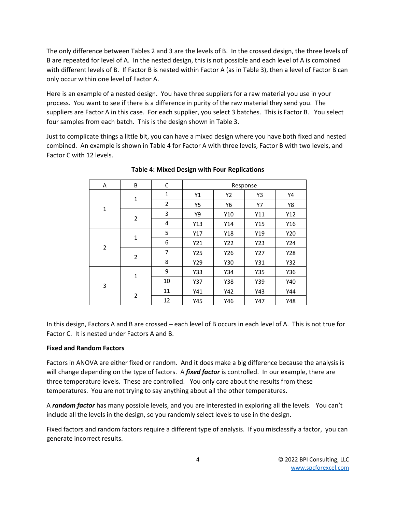The only difference between Tables 2 and 3 are the levels of B. In the crossed design, the three levels of B are repeated for level of A. In the nested design, this is not possible and each level of A is combined with different levels of B. If Factor B is nested within Factor A (as in Table 3), then a level of Factor B can only occur within one level of Factor A.

Here is an example of a nested design. You have three suppliers for a raw material you use in your process. You want to see if there is a difference in purity of the raw material they send you. The suppliers are Factor A in this case. For each supplier, you select 3 batches. This is Factor B. You select four samples from each batch. This is the design shown in Table 3.

Just to complicate things a little bit, you can have a mixed design where you have both fixed and nested combined. An example is shown in Table 4 for Factor A with three levels, Factor B with two levels, and Factor C with 12 levels.

| Α              | B              | C              | Response  |     |     |     |
|----------------|----------------|----------------|-----------|-----|-----|-----|
| $\mathbf 1$    | 1              | 1              | Υ1        | Y2  | Y3  | Y4  |
|                |                | $\overline{2}$ | <b>Y5</b> | Υ6  | Y7  | Υ8  |
|                | $\overline{2}$ | 3              | Υ9        | Y10 | Y11 | Y12 |
|                |                | 4              | Y13       | Y14 | Y15 | Y16 |
| $\overline{2}$ | $\mathbf{1}$   | 5              | Y17       | Y18 | Y19 | Y20 |
|                |                | 6              | Y21       | Y22 | Y23 | Y24 |
|                | 2              | $\overline{7}$ | Y25       | Y26 | Y27 | Y28 |
|                |                | 8              | Y29       | Y30 | Y31 | Y32 |
| 3              | 1              | 9              | Y33       | Y34 | Y35 | Y36 |
|                |                | 10             | Y37       | Y38 | Y39 | Y40 |
|                | 2              | 11             | Y41       | Y42 | Y43 | Y44 |
|                |                | 12             | Y45       | Y46 | Y47 | Y48 |

**Table 4: Mixed Design with Four Replications**

In this design, Factors A and B are crossed – each level of B occurs in each level of A. This is not true for Factor C. It is nested under Factors A and B.

# <span id="page-3-0"></span>**Fixed and Random Factors**

Factors in ANOVA are either fixed or random. And it does make a big difference because the analysis is will change depending on the type of factors. A *fixed factor* is controlled. In our example, there are three temperature levels. These are controlled. You only care about the results from these temperatures. You are not trying to say anything about all the other temperatures.

A *random factor* has many possible levels, and you are interested in exploring all the levels. You can't include all the levels in the design, so you randomly select levels to use in the design.

Fixed factors and random factors require a different type of analysis. If you misclassify a factor, you can generate incorrect results.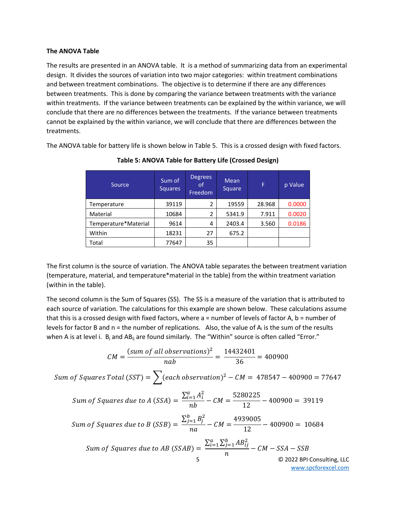#### <span id="page-4-0"></span>**The ANOVA Table**

The results are presented in an ANOVA table. It is a method of summarizing data from an experimental design. It divides the sources of variation into two major categories: within treatment combinations and between treatment combinations. The objective is to determine if there are any differences between treatments. This is done by comparing the variance between treatments with the variance within treatments. If the variance between treatments can be explained by the within variance, we will conclude that there are no differences between the treatments. If the variance between treatments cannot be explained by the within variance, we will conclude that there are differences between the treatments.

The ANOVA table for battery life is shown below in Table 5. This is a crossed design with fixed factors.

| Source               | Sum of<br>Squares | <b>Degrees</b><br>οf<br>Freedom | Mean<br>Square | F      | p Value |
|----------------------|-------------------|---------------------------------|----------------|--------|---------|
| Temperature          | 39119             | 2                               | 19559          | 28.968 | 0.0000  |
| Material             | 10684             | 2                               | 5341.9         | 7.911  | 0.0020  |
| Temperature*Material | 9614              | 4                               | 2403.4         | 3.560  | 0.0186  |
| Within               | 18231             | 27                              | 675.2          |        |         |
| Total                | 77647             | 35                              |                |        |         |

**Table 5: ANOVA Table for Battery Life (Crossed Design)**

The first column is the source of variation. The ANOVA table separates the between treatment variation (temperature, material, and temperature\*material in the table) from the within treatment variation (within in the table).

The second column is the Sum of Squares (SS). The SS is a measure of the variation that is attributed to each source of variation. The calculations for this example are shown below. These calculations assume that this is a crossed design with fixed factors, where  $a =$  number of levels of factor A,  $b =$  number of levels for factor B and  $n =$  the number of replications. Also, the value of  $A_i$  is the sum of the results when A is at level i.  $B_i$  and AB<sub>ij</sub> are found similarly. The "Within" source is often called "Error."

$$
CM = \frac{(sum of all observations)^2}{nab} = \frac{14432401}{36} = 400900
$$

Sum of Squares Total (SST) =  $\bigwedge$  (each observation)<sup>2</sup> – CM = 478547 – 400900 = 77647

Sum of Squares due to A (SSA) =  $\frac{\sum_{i=1}^{a} A_i^2}{\sum_{i=1}^{b} A_i^2}$  $\frac{1}{nb} - CM =$ 5280225  $\frac{12}{12} - 400900 = 39119$ 

Sum of Squares due to B (SSB) = 
$$
\frac{\sum_{j=1}^{b} B_j^2}{na} - CM = \frac{4939005}{12} - 400900 = 10684
$$

Sum of Squares due to AB (SSAB) = 
$$
\frac{\sum_{i=1}^{a} \sum_{j=1}^{b} AB_{ij}^{2}}{n} - CM - SSA - SSB
$$
  
© 2022 BPI Consulting, LLC

[www.spcforexcel.com](https://www.spcforexcel.com/)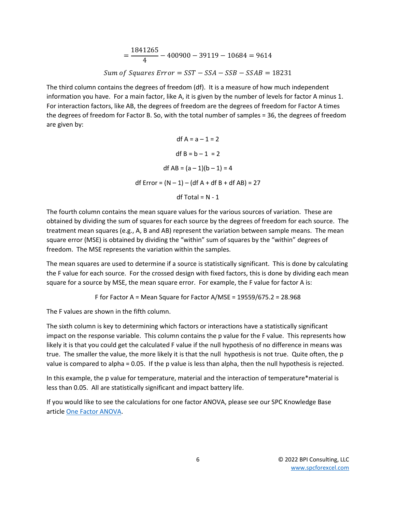$$
= \frac{1841265}{4} - 400900 - 39119 - 10684 = 9614
$$
  
Sum of Squares Error = SST - SSA - SSB - SSAB = 18231

The third column contains the degrees of freedom (df). It is a measure of how much independent information you have. For a main factor, like A, it is given by the number of levels for factor A minus 1. For interaction factors, like AB, the degrees of freedom are the degrees of freedom for Factor A times the degrees of freedom for Factor B. So, with the total number of samples = 36, the degrees of freedom are given by:

> df  $A = a - 1 = 2$ df  $B = b - 1 = 2$ df AB =  $(a - 1)(b - 1) = 4$ df Error =  $(N - 1) - (df A + df B + df AB) = 27$ df Total =  $N - 1$

The fourth column contains the mean square values for the various sources of variation. These are obtained by dividing the sum of squares for each source by the degrees of freedom for each source. The treatment mean squares (e.g., A, B and AB) represent the variation between sample means. The mean square error (MSE) is obtained by dividing the "within" sum of squares by the "within" degrees of freedom. The MSE represents the variation within the samples.

The mean squares are used to determine if a source is statistically significant. This is done by calculating the F value for each source. For the crossed design with fixed factors, this is done by dividing each mean square for a source by MSE, the mean square error. For example, the F value for factor A is:

F for Factor A = Mean Square for Factor A/MSE =  $19559/675.2$  = 28.968

The F values are shown in the fifth column.

The sixth column is key to determining which factors or interactions have a statistically significant impact on the response variable. This column contains the p value for the F value. This represents how likely it is that you could get the calculated F value if the null hypothesis of no difference in means was true. The smaller the value, the more likely it is that the null hypothesis is not true. Quite often, the p value is compared to alpha = 0.05. If the p value is less than alpha, then the null hypothesis is rejected.

In this example, the p value for temperature, material and the interaction of temperature\*material is less than 0.05. All are statistically significant and impact battery life.

<span id="page-5-0"></span>If you would like to see the calculations for one factor ANOVA, please see our SPC Knowledge Base articl[e One Factor ANOVA.](https://www.spcforexcel.com/knowledge/root-cause-analysis/single-factor-anova)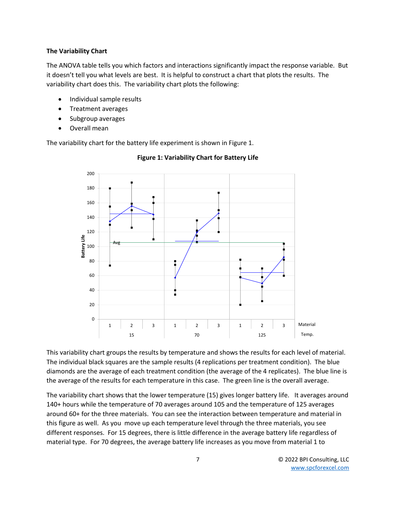### **The Variability Chart**

The ANOVA table tells you which factors and interactions significantly impact the response variable. But it doesn't tell you what levels are best. It is helpful to construct a chart that plots the results. The variability chart does this. The variability chart plots the following:

- Individual sample results
- Treatment averages
- Subgroup averages
- Overall mean

The variability chart for the battery life experiment is shown in Figure 1.



## **Figure 1: Variability Chart for Battery Life**

This variability chart groups the results by temperature and shows the results for each level of material. The individual black squares are the sample results (4 replications per treatment condition). The blue diamonds are the average of each treatment condition (the average of the 4 replicates). The blue line is the average of the results for each temperature in this case. The green line is the overall average.

The variability chart shows that the lower temperature (15) gives longer battery life. It averages around 140+ hours while the temperature of 70 averages around 105 and the temperature of 125 averages around 60+ for the three materials. You can see the interaction between temperature and material in this figure as well. As you move up each temperature level through the three materials, you see different responses. For 15 degrees, there is little difference in the average battery life regardless of material type. For 70 degrees, the average battery life increases as you move from material 1 to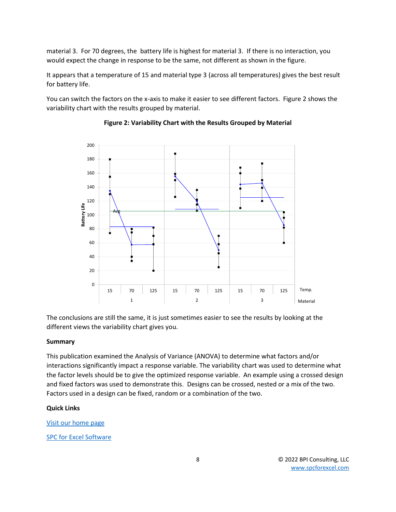material 3. For 70 degrees, the battery life is highest for material 3. If there is no interaction, you would expect the change in response to be the same, not different as shown in the figure.

It appears that a temperature of 15 and material type 3 (across all temperatures) gives the best result for battery life.

You can switch the factors on the x-axis to make it easier to see different factors. Figure 2 shows the variability chart with the results grouped by material.



## **Figure 2: Variability Chart with the Results Grouped by Material**

The conclusions are still the same, it is just sometimes easier to see the results by looking at the different views the variability chart gives you.

#### <span id="page-7-0"></span>**Summary**

This publication examined the Analysis of Variance (ANOVA) to determine what factors and/or interactions significantly impact a response variable. The variability chart was used to determine what the factor levels should be to give the optimized response variable. An example using a crossed design and fixed factors was used to demonstrate this. Designs can be crossed, nested or a mix of the two. Factors used in a design can be fixed, random or a combination of the two.

#### <span id="page-7-1"></span>**Quick Links**

#### [Visit our home page](http://www.spcforexcel.com/)

[SPC for Excel Software](http://www.spcforexcel.com/spc-software)